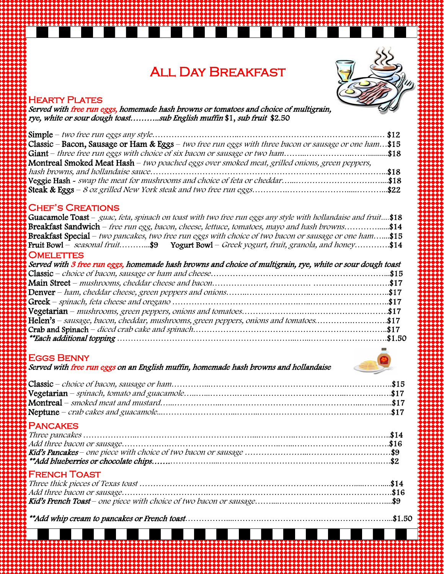# All Day Breakfast



#### **HEARTY PLATES**

Served with <u>free run eggs,</u> homemade hash browns or tomatoes and choice of multigrain,<br>rye, white or sour dough toast...........sub English muffin \$1, sub fruit \$2.50

| Classic – Bacon, Sausage or Ham & Eggs – two free run eggs with three bacon or sausage or one ham\$15 |  |
|-------------------------------------------------------------------------------------------------------|--|
| $\mathcal{S}$ Giant – three free run eggs with choice of six bacon or sausage or two ham\$18          |  |
| Montreal Smoked Meat Hash – two poached eggs over smoked meat, grilled onions, green peppers,         |  |
|                                                                                                       |  |
|                                                                                                       |  |
|                                                                                                       |  |

#### Chef's Creations

| Guacamole Toast – guac, feta, spinach on toast with two free run eggs any style with hollandaise and fruit\$18 |  |
|----------------------------------------------------------------------------------------------------------------|--|
| Breakfast Sandwich - free run egg, bacon, cheese, lettuce, tomatoes, mayo and hash browns\$14                  |  |
| Breakfast Special - two pancakes, two free run eggs with choice of two bacon or sausage or one ham\$15         |  |
| Fruit Bowl – seasonal fruit\$9 Yogurt Bowl – Greek yogurt, fruit, granola, and honey\$14                       |  |
| <b>OMELETTES</b>                                                                                               |  |
| Served with 3 free run eggs, homemade hash browns and choice of multigrain, rye, white or sour dough toast     |  |
|                                                                                                                |  |
|                                                                                                                |  |
|                                                                                                                |  |
|                                                                                                                |  |
|                                                                                                                |  |
| Helen's – sausage, bacon, cheddar, mushrooms, green peppers, onions and tomatoes\$17                           |  |
|                                                                                                                |  |
|                                                                                                                |  |

#### Eggs Benny

Served with free run eggs on an English muffin, homemade hash browns and hollandaise

# **PANCAKES**

#### French Toast

\*\*Add whip cream to pancakes or French toast……………....……….………………….……………………...\$1.50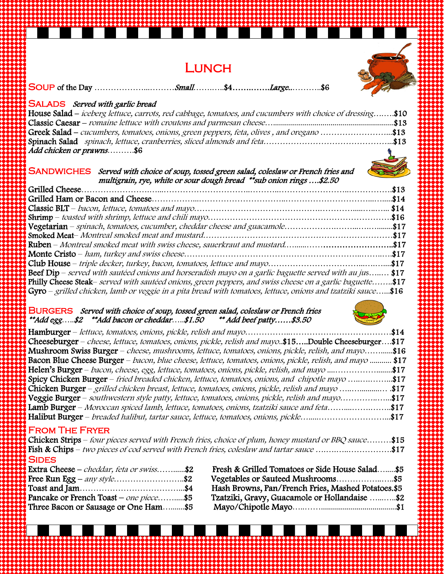# **LUNCH**



SOUP of the Day …………………………*.Small*…………\$4…………*Large*……………\$6

#### SALADS Served with garlic bread

| House Salad – iceberg lettuce, carrots, red cabbage, tomatoes, and cucumbers with choice of dressing\$10 |  |
|----------------------------------------------------------------------------------------------------------|--|
|                                                                                                          |  |
| $\vert$ Greek Salad – cucumbers, tomatoes, onions, green peppers, feta, olives, and oregano \$13         |  |
|                                                                                                          |  |
| Add chicken or prawns\$6                                                                                 |  |

#### SANDWICHES Served with choice of soup, tossed green salad, coleslaw or French fries and multigrain, rye, white or sour dough bread \*\*sub onion rings ….\$2.50

| Beef Dip – served with sautéed onions and horseradish mayo on a garlic baguette served with au jus \$17               |  |
|-----------------------------------------------------------------------------------------------------------------------|--|
| Philly Cheese Steak– served with sautéed onions, green peppers, and swiss cheese on a garlic baguette\$17             |  |
| $\sigma$ Gyro – grilled chicken, lamb or veggie in a pita bread with tomatoes, lettuce, onions and tzatziki sauce\$16 |  |

#### BURGERS *Served with choice of soup, tossed green salad, coleslaw or French fries*<br>\*\*Add egg.....\$2 \*\*Add bacon or cheddar.....\$1.50 \*\* Add beef patty......\$3.50 \*\*Add egg…..\$2 \*\*Add bacon or cheddar…..\$1.50 \*\* Add beef patty……\$3.50



| Cheeseburger – cheese, lettuce, tomatoes, onions, pickle, relish and mayo\$15Double Cheeseburger\$17     |  |
|----------------------------------------------------------------------------------------------------------|--|
| Mushroom Swiss Burger – cheese, mushrooms, lettuce, tomatoes, onions, pickle, relish, and mayo\$16       |  |
| Bacon Blue Cheese Burger – bacon, blue cheese, lettuce, tomatoes, onions, pickle, relish, and mayo  \$17 |  |
| Helen's Burger – bacon, cheese, egg, lettuce, tomatoes, onions, pickle, relish, and mayo \$17            |  |
| Spicy Chicken Burger – fried breaded chicken, lettuce, tomatoes, onions, and chipotle mayo \$17          |  |
|                                                                                                          |  |
| Veggie Burger – southwestern style patty, lettuce, tomatoes, onions, pickle, relish and mayo\$17         |  |
| Lamb Burger – Moroccan spiced lamb, lettuce, tomatoes, onions, tzatziki sauce and feta\$17               |  |
| Halibut Burger – breaded halibut, tartar sauce, lettuce, tomatoes, onions, pickle\$17                    |  |
|                                                                                                          |  |

#### From The Fryer

Chicken Strips – four pieces served with French fries, choice of plum, honey mustard or BBQ sauce………\$15 Fish & Chips – two pieces of cod served with French fries, coleslaw and tartar sauce .........................\$17 **SIDES** 

| Extra Cheese – cheddar, feta or swiss\$2 |  |
|------------------------------------------|--|
| Free Run Egg – any style\$2              |  |
|                                          |  |
| Pancake or French Toast – one piece\$5   |  |
| Three Bacon or Sausage or One Ham\$5     |  |

| Extra Cheese – <i>cheddar, feta or swiss</i> \$2 | Fresh & Grilled Tomatoes or Side House Salad\$5    |
|--------------------------------------------------|----------------------------------------------------|
| Free Run Egg $-$ any style\$2                    | Vegetables or Sauteed Mushrooms\$5                 |
|                                                  | Hash Browns, Pan/French Fries, Mashed Potatoes.\$5 |
| Pancake or French Toast – one piece\$5           | Tzatziki, Gravy, Guacamole or Hollandaise \$2      |
| Three Bacon or Sausage or One Ham\$5             |                                                    |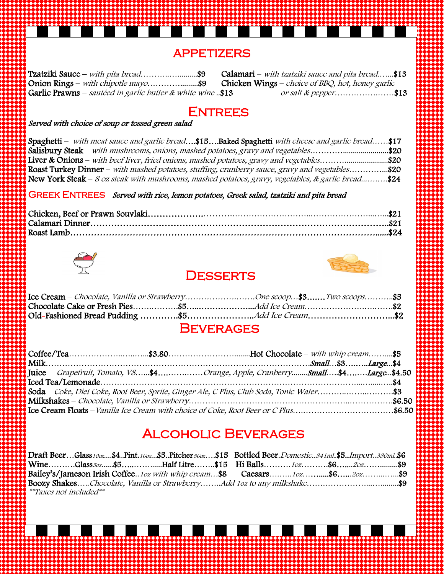#### **APPETIZERS**

Tzatziki Sauce – with pita bread……………………..\$9 Calamari – with tzatziki sauce and pita bread…….\$13<br>Onion Rings – with chipotle mayo…………………..\$9 Chicken Wings – choice of BBQ, hot, honey garlic Chicken Wings – choice of BBQ, hot, honey garlic Garlic Prawns – sautéed in garlic butter & white wine ..\$13 or salt & pepper......................\$13

### **ENTREES**

#### Served with choice of soup or tossed green salad

| Spaghetti – with meat sauce and garlic bread\$15Baked Spaghetti with cheese and garlic bread\$17       |  |
|--------------------------------------------------------------------------------------------------------|--|
| Salisbury Steak – with mushrooms, onions, mashed potatoes, gravy and vegetables\$20                    |  |
| <b>I liver &amp; Onions</b> – with beef liver, fried onions, mashed potatoes, gravy and vegetables\$20 |  |
| Roast Turkey Dinner – with mashed potatoes, stuffing, cranberry sauce, gravy and vegetables\$20        |  |
| New York Steak – 8 oz steak with mushrooms, mashed potatoes, gravy, vegetables, & garlic bread\$24     |  |

#### GREEK ENTREES Served with rice, lemon potatoes, Greek salad, tzatziki and pita bread



#### **DESSERTS**



|  | $\mathbf{I}$ Ice Cream – <i>Chocolate, Vanilla or StrawberryOne scoop</i> \$3 <i>Two scoops</i> \$5 |  |
|--|-----------------------------------------------------------------------------------------------------|--|
|  |                                                                                                     |  |
|  |                                                                                                     |  |
|  |                                                                                                     |  |

#### **BEVERAGES**

| Juice – Grapefruit, Tomato, V8\$4Orange, Apple, CranberrySmall\$4Large\$4.50        |  |
|-------------------------------------------------------------------------------------|--|
|                                                                                     |  |
|                                                                                     |  |
|                                                                                     |  |
| Ice Cream Floats – Vanilla Ice Cream with choice of Coke, Root Beer or C Plus\$6.50 |  |

# Alcoholic Beverages

Draft Beer...Glass10oz....\$4..Pint.16oz...\$5..Pitcher56oz....\$15 Bottled Beer.Domestic..341ml.\$5..Import..330ml.\$6 Wine……….Glass<sub>50z……</sub>\$5………………Half Litre…….\$15 Hi Balls……….10z………\$6……20z………………\$9 Bailey's/Jameson Irish Coffee..1oz with whip cream...\$8 Caesars.........1oz............\$6......2oz...............\$9 Boozy Shakes…..Chocolate, Vanilla or Strawberry……..Add 1oz to any milkshake……............................\$9 \*\*Taxes not included\*\*